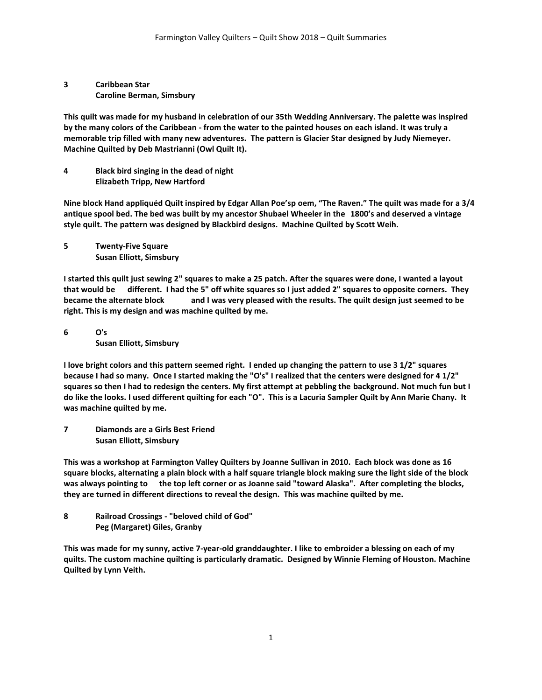**3 Caribbean Star Caroline Berman, Simsbury**

**This quilt was made for my husband in celebration of our 35th Wedding Anniversary. The palette was inspired by the many colors of the Caribbean - from the water to the painted houses on each island. It was truly a memorable trip filled with many new adventures. The pattern is Glacier Star designed by Judy Niemeyer. Machine Quilted by Deb Mastrianni (Owl Quilt It).**

**4 Black bird singing in the dead of night Elizabeth Tripp, New Hartford**

**Nine block Hand appliquéd Quilt inspired by Edgar Allan Poe'sp oem, "The Raven." The quilt was made for a 3/4 antique spool bed. The bed was built by my ancestor Shubael Wheeler in the 1800's and deserved a vintage style quilt. The pattern was designed by Blackbird designs. Machine Quilted by Scott Weih.**

**5 Twenty-Five Square Susan Elliott, Simsbury**

**I started this quilt just sewing 2" squares to make a 25 patch. After the squares were done, I wanted a layout that would be different. I had the 5" off white squares so I just added 2" squares to opposite corners. They became the alternate block and I was very pleased with the results. The quilt design just seemed to be right. This is my design and was machine quilted by me.**

**6 O's Susan Elliott, Simsbury**

**I love bright colors and this pattern seemed right. I ended up changing the pattern to use 3 1/2" squares because I had so many. Once I started making the "O's" I realized that the centers were designed for 4 1/2" squares so then I had to redesign the centers. My first attempt at pebbling the background. Not much fun but I do like the looks. I used different quilting for each "O". This is a Lacuria Sampler Quilt by Ann Marie Chany. It was machine quilted by me.**

**7 Diamonds are a Girls Best Friend Susan Elliott, Simsbury**

**This was a workshop at Farmington Valley Quilters by Joanne Sullivan in 2010. Each block was done as 16 square blocks, alternating a plain block with a half square triangle block making sure the light side of the block was always pointing to the top left corner or as Joanne said "toward Alaska". After completing the blocks, they are turned in different directions to reveal the design. This was machine quilted by me.**

**8 Railroad Crossings - "beloved child of God" Peg (Margaret) Giles, Granby**

**This was made for my sunny, active 7-year-old granddaughter. I like to embroider a blessing on each of my quilts. The custom machine quilting is particularly dramatic. Designed by Winnie Fleming of Houston. Machine Quilted by Lynn Veith.**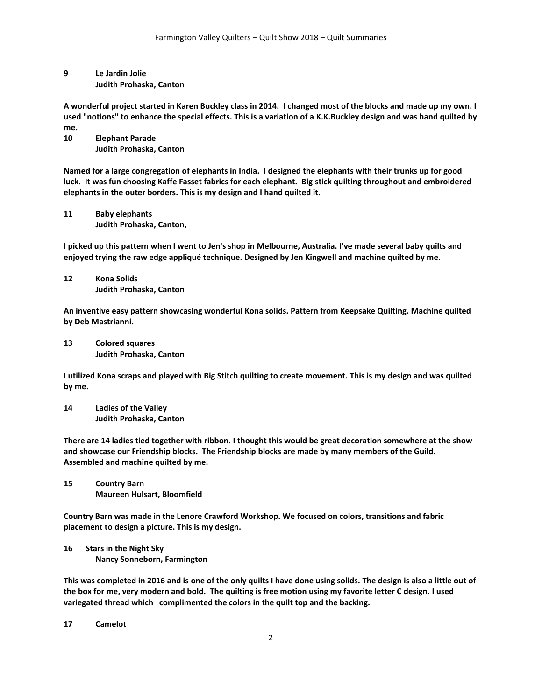## **9 Le Jardin Jolie Judith Prohaska, Canton**

**A wonderful project started in Karen Buckley class in 2014. I changed most of the blocks and made up my own. I used "notions" to enhance the special effects. This is a variation of a K.K.Buckley design and was hand quilted by me.**

**10 Elephant Parade Judith Prohaska, Canton**

**Named for a large congregation of elephants in India. I designed the elephants with their trunks up for good luck. It was fun choosing Kaffe Fasset fabrics for each elephant. Big stick quilting throughout and embroidered elephants in the outer borders. This is my design and I hand quilted it.**

**11 Baby elephants Judith Prohaska, Canton,**

**I picked up this pattern when I went to Jen's shop in Melbourne, Australia. I've made several baby quilts and enjoyed trying the raw edge appliqué technique. Designed by Jen Kingwell and machine quilted by me.**

**12 Kona Solids Judith Prohaska, Canton**

**An inventive easy pattern showcasing wonderful Kona solids. Pattern from Keepsake Quilting. Machine quilted by Deb Mastrianni.**

**13 Colored squares Judith Prohaska, Canton**

**I utilized Kona scraps and played with Big Stitch quilting to create movement. This is my design and was quilted by me.**

**14 Ladies of the Valley Judith Prohaska, Canton**

**There are 14 ladies tied together with ribbon. I thought this would be great decoration somewhere at the show and showcase our Friendship blocks. The Friendship blocks are made by many members of the Guild. Assembled and machine quilted by me.**

**15 Country Barn Maureen Hulsart, Bloomfield**

**Country Barn was made in the Lenore Crawford Workshop. We focused on colors, transitions and fabric placement to design a picture. This is my design.** 

**16 Stars in the Night Sky Nancy Sonneborn, Farmington**

**This was completed in 2016 and is one of the only quilts I have done using solids. The design is also a little out of the box for me, very modern and bold. The quilting is free motion using my favorite letter C design. I used variegated thread which complimented the colors in the quilt top and the backing.** 

**17 Camelot**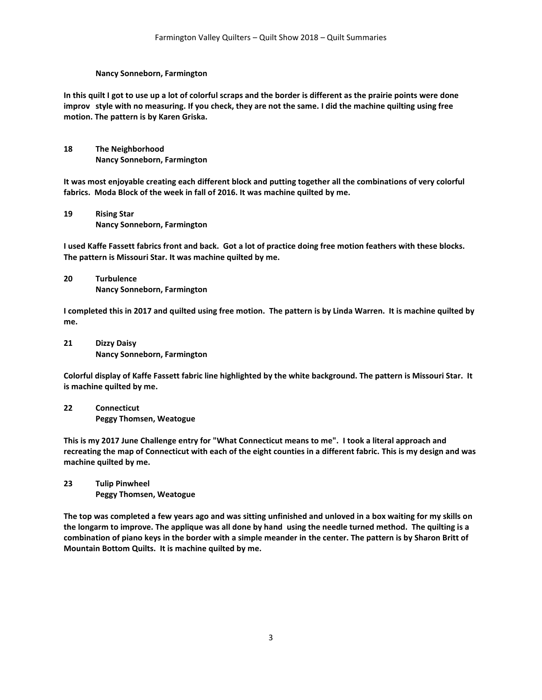#### **Nancy Sonneborn, Farmington**

**In this quilt I got to use up a lot of colorful scraps and the border is different as the prairie points were done improv style with no measuring. If you check, they are not the same. I did the machine quilting using free motion. The pattern is by Karen Griska.** 

**18 The Neighborhood Nancy Sonneborn, Farmington**

**It was most enjoyable creating each different block and putting together all the combinations of very colorful fabrics. Moda Block of the week in fall of 2016. It was machine quilted by me.**

**19 Rising Star Nancy Sonneborn, Farmington**

**I used Kaffe Fassett fabrics front and back. Got a lot of practice doing free motion feathers with these blocks. The pattern is Missouri Star. It was machine quilted by me.**

**20 Turbulence Nancy Sonneborn, Farmington**

**I completed this in 2017 and quilted using free motion. The pattern is by Linda Warren. It is machine quilted by me.**

**21 Dizzy Daisy Nancy Sonneborn, Farmington**

**Colorful display of Kaffe Fassett fabric line highlighted by the white background. The pattern is Missouri Star. It is machine quilted by me.**

**22 Connecticut Peggy Thomsen, Weatogue**

**This is my 2017 June Challenge entry for "What Connecticut means to me". I took a literal approach and recreating the map of Connecticut with each of the eight counties in a different fabric. This is my design and was machine quilted by me.**

**23 Tulip Pinwheel Peggy Thomsen, Weatogue**

**The top was completed a few years ago and was sitting unfinished and unloved in a box waiting for my skills on the longarm to improve. The applique was all done by hand using the needle turned method. The quilting is a combination of piano keys in the border with a simple meander in the center. The pattern is by Sharon Britt of Mountain Bottom Quilts. It is machine quilted by me.**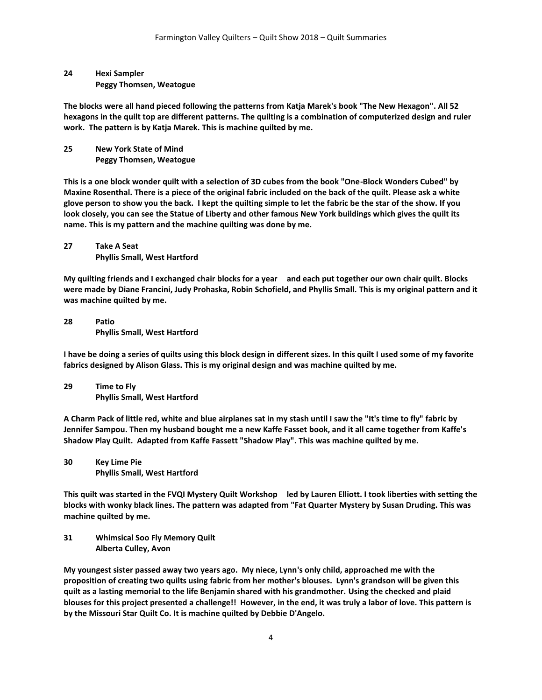## **24 Hexi Sampler Peggy Thomsen, Weatogue**

**The blocks were all hand pieced following the patterns from Katja Marek's book "The New Hexagon". All 52 hexagons in the quilt top are different patterns. The quilting is a combination of computerized design and ruler work. The pattern is by Katja Marek. This is machine quilted by me.**

**25 New York State of Mind Peggy Thomsen, Weatogue**

**This is a one block wonder quilt with a selection of 3D cubes from the book "One-Block Wonders Cubed" by Maxine Rosenthal. There is a piece of the original fabric included on the back of the quilt. Please ask a white glove person to show you the back. I kept the quilting simple to let the fabric be the star of the show. If you look closely, you can see the Statue of Liberty and other famous New York buildings which gives the quilt its name. This is my pattern and the machine quilting was done by me.**

**27 Take A Seat Phyllis Small, West Hartford**

**My quilting friends and I exchanged chair blocks for a year and each put together our own chair quilt. Blocks were made by Diane Francini, Judy Prohaska, Robin Schofield, and Phyllis Small. This is my original pattern and it was machine quilted by me.**

**28 Patio Phyllis Small, West Hartford**

**I have be doing a series of quilts using this block design in different sizes. In this quilt I used some of my favorite fabrics designed by Alison Glass. This is my original design and was machine quilted by me.**

**29 Time to Fly Phyllis Small, West Hartford**

**A Charm Pack of little red, white and blue airplanes sat in my stash until I saw the "It's time to fly" fabric by Jennifer Sampou. Then my husband bought me a new Kaffe Fasset book, and it all came together from Kaffe's Shadow Play Quilt. Adapted from Kaffe Fassett "Shadow Play". This was machine quilted by me.**

**30 Key Lime Pie Phyllis Small, West Hartford**

**This quilt was started in the FVQI Mystery Quilt Workshop led by Lauren Elliott. I took liberties with setting the blocks with wonky black lines. The pattern was adapted from "Fat Quarter Mystery by Susan Druding. This was machine quilted by me.**

**31 Whimsical Soo Fly Memory Quilt Alberta Culley, Avon**

**My youngest sister passed away two years ago. My niece, Lynn's only child, approached me with the proposition of creating two quilts using fabric from her mother's blouses. Lynn's grandson will be given this quilt as a lasting memorial to the life Benjamin shared with his grandmother. Using the checked and plaid blouses for this project presented a challenge!! However, in the end, it was truly a labor of love. This pattern is by the Missouri Star Quilt Co. It is machine quilted by Debbie D'Angelo.**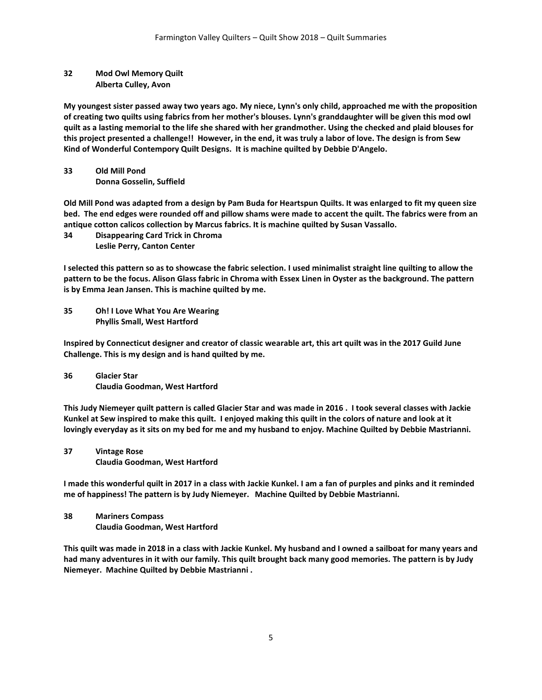### **32 Mod Owl Memory Quilt Alberta Culley, Avon**

**My youngest sister passed away two years ago. My niece, Lynn's only child, approached me with the proposition of creating two quilts using fabrics from her mother's blouses. Lynn's granddaughter will be given this mod owl quilt as a lasting memorial to the life she shared with her grandmother. Using the checked and plaid blouses for this project presented a challenge!! However, in the end, it was truly a labor of love. The design is from Sew Kind of Wonderful Contempory Quilt Designs. It is machine quilted by Debbie D'Angelo.**

## **33 Old Mill Pond Donna Gosselin, Suffield**

**Old Mill Pond was adapted from a design by Pam Buda for Heartspun Quilts. It was enlarged to fit my queen size bed. The end edges were rounded off and pillow shams were made to accent the quilt. The fabrics were from an antique cotton calicos collection by Marcus fabrics. It is machine quilted by Susan Vassallo.**

**34 Disappearing Card Trick in Chroma Leslie Perry, Canton Center**

**I selected this pattern so as to showcase the fabric selection. I used minimalist straight line quilting to allow the pattern to be the focus. Alison Glass fabric in Chroma with Essex Linen in Oyster as the background. The pattern is by Emma Jean Jansen. This is machine quilted by me.**

**35 Oh! I Love What You Are Wearing Phyllis Small, West Hartford**

**Inspired by Connecticut designer and creator of classic wearable art, this art quilt was in the 2017 Guild June Challenge. This is my design and is hand quilted by me.**

**36 Glacier Star Claudia Goodman, West Hartford**

**This Judy Niemeyer quilt pattern is called Glacier Star and was made in 2016 . I took several classes with Jackie Kunkel at Sew inspired to make this quilt. I enjoyed making this quilt in the colors of nature and look at it lovingly everyday as it sits on my bed for me and my husband to enjoy. Machine Quilted by Debbie Mastrianni.**

**37 Vintage Rose Claudia Goodman, West Hartford**

**I made this wonderful quilt in 2017 in a class with Jackie Kunkel. I am a fan of purples and pinks and it reminded me of happiness! The pattern is by Judy Niemeyer. Machine Quilted by Debbie Mastrianni.**

**38 Mariners Compass Claudia Goodman, West Hartford**

**This quilt was made in 2018 in a class with Jackie Kunkel. My husband and I owned a sailboat for many years and had many adventures in it with our family. This quilt brought back many good memories. The pattern is by Judy Niemeyer. Machine Quilted by Debbie Mastrianni .**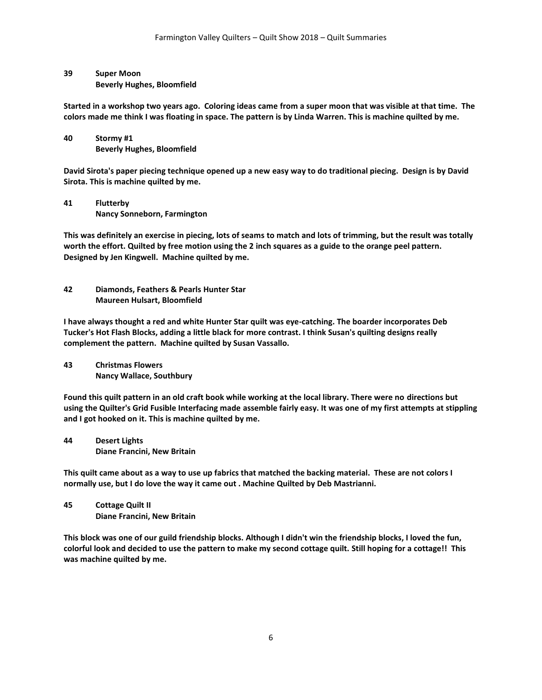# **39 Super Moon**

**Beverly Hughes, Bloomfield**

**Started in a workshop two years ago. Coloring ideas came from a super moon that was visible at that time. The colors made me think I was floating in space. The pattern is by Linda Warren. This is machine quilted by me.**

**40 Stormy #1 Beverly Hughes, Bloomfield**

**David Sirota's paper piecing technique opened up a new easy way to do traditional piecing. Design is by David Sirota. This is machine quilted by me.**

**41 Flutterby Nancy Sonneborn, Farmington**

**This was definitely an exercise in piecing, lots of seams to match and lots of trimming, but the result was totally worth the effort. Quilted by free motion using the 2 inch squares as a guide to the orange peel pattern. Designed by Jen Kingwell. Machine quilted by me.**

**42 Diamonds, Feathers & Pearls Hunter Star Maureen Hulsart, Bloomfield**

**I have always thought a red and white Hunter Star quilt was eye-catching. The boarder incorporates Deb Tucker's Hot Flash Blocks, adding a little black for more contrast. I think Susan's quilting designs really complement the pattern. Machine quilted by Susan Vassallo.**

**43 Christmas Flowers Nancy Wallace, Southbury**

**Found this quilt pattern in an old craft book while working at the local library. There were no directions but using the Quilter's Grid Fusible Interfacing made assemble fairly easy. It was one of my first attempts at stippling and I got hooked on it. This is machine quilted by me.**

**44 Desert Lights Diane Francini, New Britain**

**This quilt came about as a way to use up fabrics that matched the backing material. These are not colors I normally use, but I do love the way it came out . Machine Quilted by Deb Mastrianni.**

**45 Cottage Quilt II Diane Francini, New Britain**

**This block was one of our guild friendship blocks. Although I didn't win the friendship blocks, I loved the fun, colorful look and decided to use the pattern to make my second cottage quilt. Still hoping for a cottage!! This was machine quilted by me.**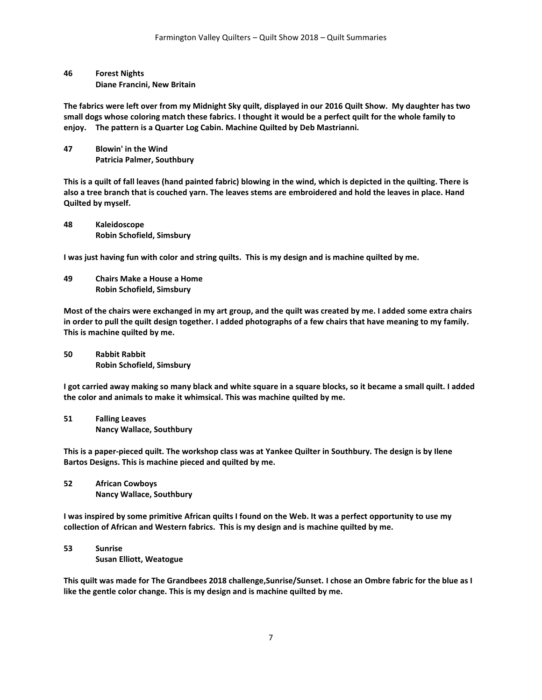## **46 Forest Nights Diane Francini, New Britain**

**The fabrics were left over from my Midnight Sky quilt, displayed in our 2016 Quilt Show. My daughter has two small dogs whose coloring match these fabrics. I thought it would be a perfect quilt for the whole family to enjoy. The pattern is a Quarter Log Cabin. Machine Quilted by Deb Mastrianni.**

**47 Blowin' in the Wind Patricia Palmer, Southbury**

**This is a quilt of fall leaves (hand painted fabric) blowing in the wind, which is depicted in the quilting. There is also a tree branch that is couched yarn. The leaves stems are embroidered and hold the leaves in place. Hand Quilted by myself.**

**48 Kaleidoscope Robin Schofield, Simsbury**

**I was just having fun with color and string quilts. This is my design and is machine quilted by me.**

**49 Chairs Make a House a Home Robin Schofield, Simsbury**

**Most of the chairs were exchanged in my art group, and the quilt was created by me. I added some extra chairs in order to pull the quilt design together. I added photographs of a few chairs that have meaning to my family. This is machine quilted by me.**

**50 Rabbit Rabbit Robin Schofield, Simsbury**

**I got carried away making so many black and white square in a square blocks, so it became a small quilt. I added the color and animals to make it whimsical. This was machine quilted by me.**

**51 Falling Leaves Nancy Wallace, Southbury**

**This is a paper-pieced quilt. The workshop class was at Yankee Quilter in Southbury. The design is by Ilene Bartos Designs. This is machine pieced and quilted by me.**

**52 African Cowboys Nancy Wallace, Southbury**

**I was inspired by some primitive African quilts I found on the Web. It was a perfect opportunity to use my collection of African and Western fabrics. This is my design and is machine quilted by me.**

**53 Sunrise Susan Elliott, Weatogue**

**This quilt was made for The Grandbees 2018 challenge,Sunrise/Sunset. I chose an Ombre fabric for the blue as I like the gentle color change. This is my design and is machine quilted by me.**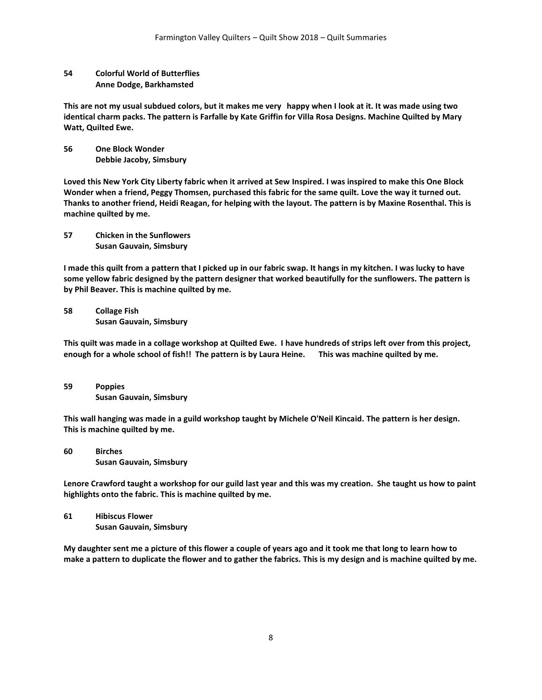### **54 Colorful World of Butterflies Anne Dodge, Barkhamsted**

**This are not my usual subdued colors, but it makes me very happy when I look at it. It was made using two identical charm packs. The pattern is Farfalle by Kate Griffin for Villa Rosa Designs. Machine Quilted by Mary Watt, Quilted Ewe.**

**56 One Block Wonder Debbie Jacoby, Simsbury**

**Loved this New York City Liberty fabric when it arrived at Sew Inspired. I was inspired to make this One Block Wonder when a friend, Peggy Thomsen, purchased this fabric for the same quilt. Love the way it turned out. Thanks to another friend, Heidi Reagan, for helping with the layout. The pattern is by Maxine Rosenthal. This is machine quilted by me.**

**57 Chicken in the Sunflowers Susan Gauvain, Simsbury**

**I made this quilt from a pattern that I picked up in our fabric swap. It hangs in my kitchen. I was lucky to have some yellow fabric designed by the pattern designer that worked beautifully for the sunflowers. The pattern is by Phil Beaver. This is machine quilted by me.**

**58 Collage Fish Susan Gauvain, Simsbury**

**This quilt was made in a collage workshop at Quilted Ewe. I have hundreds of strips left over from this project, enough for a whole school of fish!! The pattern is by Laura Heine. This was machine quilted by me.**

**59 Poppies Susan Gauvain, Simsbury**

**This wall hanging was made in a guild workshop taught by Michele O'Neil Kincaid. The pattern is her design. This is machine quilted by me.**

**60 Birches Susan Gauvain, Simsbury**

**Lenore Crawford taught a workshop for our guild last year and this was my creation. She taught us how to paint highlights onto the fabric. This is machine quilted by me.**

**61 Hibiscus Flower Susan Gauvain, Simsbury**

**My daughter sent me a picture of this flower a couple of years ago and it took me that long to learn how to make a pattern to duplicate the flower and to gather the fabrics. This is my design and is machine quilted by me.**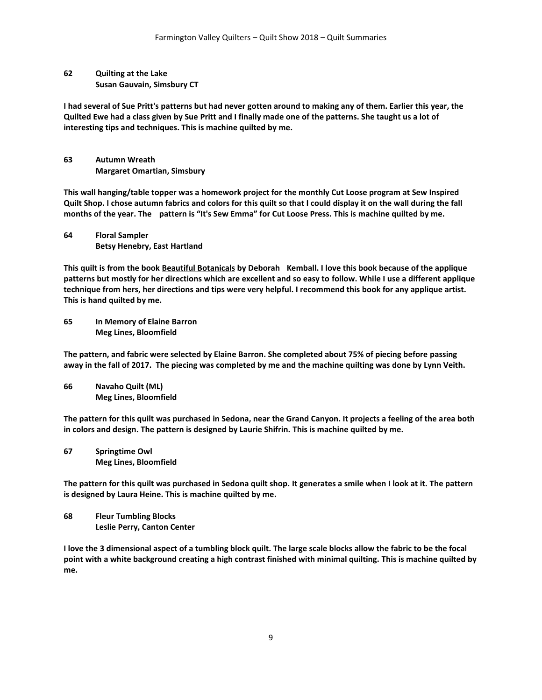**62 Quilting at the Lake Susan Gauvain, Simsbury CT**

**I had several of Sue Pritt's patterns but had never gotten around to making any of them. Earlier this year, the Quilted Ewe had a class given by Sue Pritt and I finally made one of the patterns. She taught us a lot of interesting tips and techniques. This is machine quilted by me.**

**63 Autumn Wreath Margaret Omartian, Simsbury**

**This wall hanging/table topper was a homework project for the monthly Cut Loose program at Sew Inspired Quilt Shop. I chose autumn fabrics and colors for this quilt so that I could display it on the wall during the fall months of the year. The pattern is "It's Sew Emma" for Cut Loose Press. This is machine quilted by me.**

**64 Floral Sampler Betsy Henebry, East Hartland**

**This quilt is from the book Beautiful Botanicals by Deborah Kemball. I love this book because of the applique patterns but mostly for her directions which are excellent and so easy to follow. While I use a different applique technique from hers, her directions and tips were very helpful. I recommend this book for any applique artist. This is hand quilted by me.**

**65 In Memory of Elaine Barron Meg Lines, Bloomfield**

**The pattern, and fabric were selected by Elaine Barron. She completed about 75% of piecing before passing away in the fall of 2017. The piecing was completed by me and the machine quilting was done by Lynn Veith.**

**66 Navaho Quilt (ML) Meg Lines, Bloomfield**

**The pattern for this quilt was purchased in Sedona, near the Grand Canyon. It projects a feeling of the area both in colors and design. The pattern is designed by Laurie Shifrin. This is machine quilted by me.**

**67 Springtime Owl Meg Lines, Bloomfield**

**The pattern for this quilt was purchased in Sedona quilt shop. It generates a smile when I look at it. The pattern is designed by Laura Heine. This is machine quilted by me.**

**68 Fleur Tumbling Blocks Leslie Perry, Canton Center**

**I love the 3 dimensional aspect of a tumbling block quilt. The large scale blocks allow the fabric to be the focal point with a white background creating a high contrast finished with minimal quilting. This is machine quilted by me.**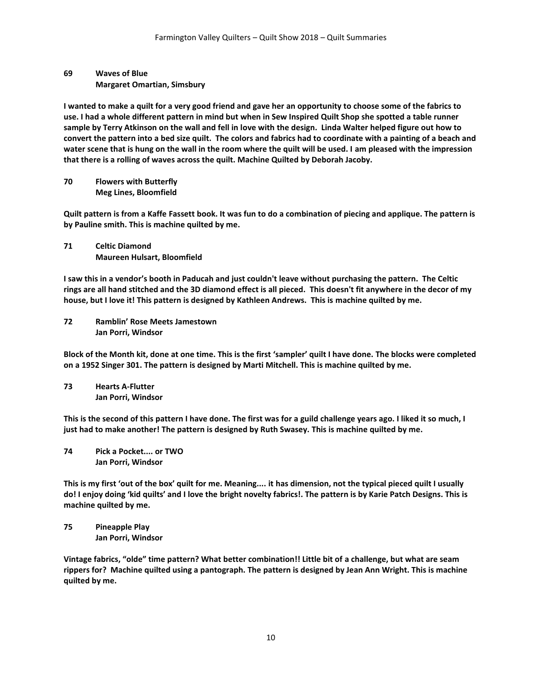## **69 Waves of Blue Margaret Omartian, Simsbury**

**I wanted to make a quilt for a very good friend and gave her an opportunity to choose some of the fabrics to use. I had a whole different pattern in mind but when in Sew Inspired Quilt Shop she spotted a table runner sample by Terry Atkinson on the wall and fell in love with the design. Linda Walter helped figure out how to convert the pattern into a bed size quilt. The colors and fabrics had to coordinate with a painting of a beach and water scene that is hung on the wall in the room where the quilt will be used. I am pleased with the impression that there is a rolling of waves across the quilt. Machine Quilted by Deborah Jacoby.**

**70 Flowers with Butterfly Meg Lines, Bloomfield**

**Quilt pattern is from a Kaffe Fassett book. It was fun to do a combination of piecing and applique. The pattern is by Pauline smith. This is machine quilted by me.**

**71 Celtic Diamond Maureen Hulsart, Bloomfield**

**I saw this in a vendor's booth in Paducah and just couldn't leave without purchasing the pattern. The Celtic rings are all hand stitched and the 3D diamond effect is all pieced. This doesn't fit anywhere in the decor of my house, but I love it! This pattern is designed by Kathleen Andrews. This is machine quilted by me.**

**72 Ramblin' Rose Meets Jamestown Jan Porri, Windsor**

**Block of the Month kit, done at one time. This is the first 'sampler' quilt I have done. The blocks were completed on a 1952 Singer 301. The pattern is designed by Marti Mitchell. This is machine quilted by me.**

**73 Hearts A-Flutter Jan Porri, Windsor**

**This is the second of this pattern I have done. The first was for a guild challenge years ago. I liked it so much, I just had to make another! The pattern is designed by Ruth Swasey. This is machine quilted by me.**

**74 Pick a Pocket.... or TWO Jan Porri, Windsor**

**This is my first 'out of the box' quilt for me. Meaning.... it has dimension, not the typical pieced quilt I usually do! I enjoy doing 'kid quilts' and I love the bright novelty fabrics!. The pattern is by Karie Patch Designs. This is machine quilted by me.**

**75 Pineapple Play Jan Porri, Windsor**

**Vintage fabrics, "olde" time pattern? What better combination!! Little bit of a challenge, but what are seam rippers for? Machine quilted using a pantograph. The pattern is designed by Jean Ann Wright. This is machine quilted by me.**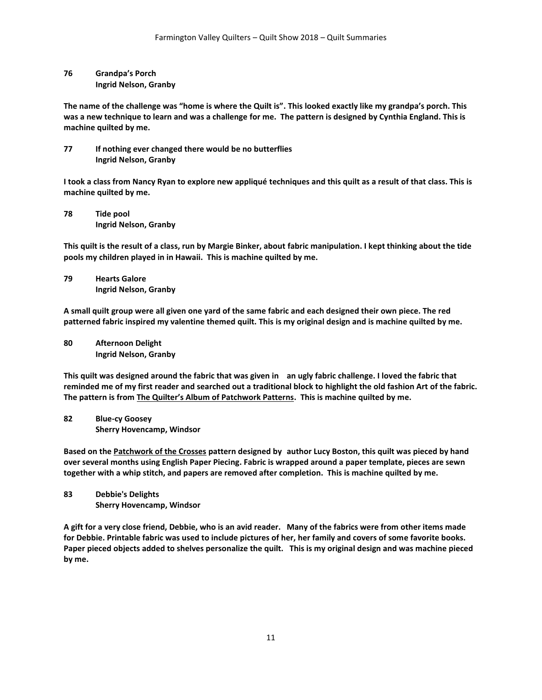**76 Grandpa's Porch Ingrid Nelson, Granby**

**The name of the challenge was "home is where the Quilt is". This looked exactly like my grandpa's porch. This was a new technique to learn and was a challenge for me. The pattern is designed by Cynthia England. This is machine quilted by me.**

**77 If nothing ever changed there would be no butterflies Ingrid Nelson, Granby**

**I took a class from Nancy Ryan to explore new appliqué techniques and this quilt as a result of that class. This is machine quilted by me.**

**78 Tide pool Ingrid Nelson, Granby**

**This quilt is the result of a class, run by Margie Binker, about fabric manipulation. I kept thinking about the tide pools my children played in in Hawaii. This is machine quilted by me.**

**79 Hearts Galore Ingrid Nelson, Granby**

**A small quilt group were all given one yard of the same fabric and each designed their own piece. The red patterned fabric inspired my valentine themed quilt. This is my original design and is machine quilted by me.**

**80 Afternoon Delight Ingrid Nelson, Granby**

**This quilt was designed around the fabric that was given in an ugly fabric challenge. I loved the fabric that reminded me of my first reader and searched out a traditional block to highlight the old fashion Art of the fabric. The pattern is from The Quilter's Album of Patchwork Patterns. This is machine quilted by me.**

**82 Blue-cy Goosey Sherry Hovencamp, Windsor**

**Based on the Patchwork of the Crosses pattern designed by author Lucy Boston, this quilt was pieced by hand over several months using English Paper Piecing. Fabric is wrapped around a paper template, pieces are sewn together with a whip stitch, and papers are removed after completion. This is machine quilted by me.**

**83 Debbie's Delights Sherry Hovencamp, Windsor**

**A gift for a very close friend, Debbie, who is an avid reader. Many of the fabrics were from other items made for Debbie. Printable fabric was used to include pictures of her, her family and covers of some favorite books. Paper pieced objects added to shelves personalize the quilt. This is my original design and was machine pieced by me.**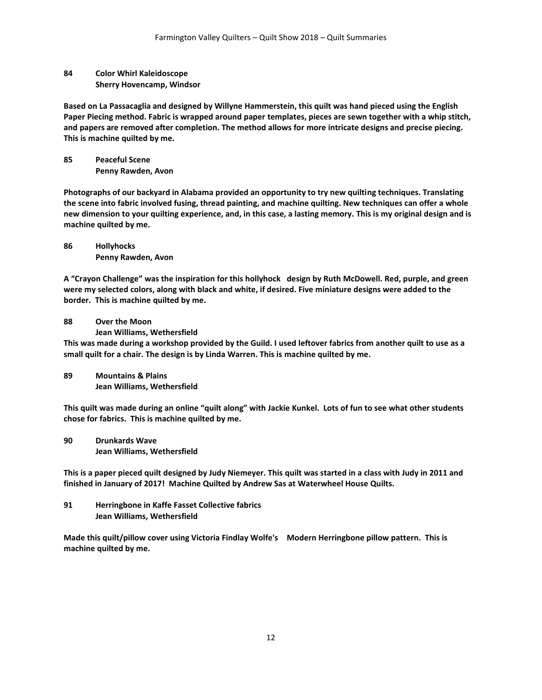**84 Color Whirl Kaleidoscope Sherry Hovencamp, Windsor**

**Based on La Passacaglia and designed by Willyne Hammerstein, this quilt was hand pieced using the English Paper Piecing method. Fabric is wrapped around paper templates, pieces are sewn together with a whip stitch, and papers are removed after completion. The method allows for more intricate designs and precise piecing. This is machine quilted by me.**

**85 Peaceful Scene Penny Rawden, Avon**

**Photographs of our backyard in Alabama provided an opportunity to try new quilting techniques. Translating the scene into fabric involved fusing, thread painting, and machine quilting. New techniques can offer a whole new dimension to your quilting experience, and, in this case, a lasting memory. This is my original design and is machine quilted by me.**

**86 Hollyhocks Penny Rawden, Avon**

**A "Crayon Challenge" was the inspiration for this hollyhock design by Ruth McDowell. Red, purple, and green were my selected colors, along with black and white, if desired. Five miniature designs were added to the border. This is machine quilted by me.**

**88 Over the Moon**

**Jean Williams, Wethersfield**

**This was made during a workshop provided by the Guild. I used leftover fabrics from another quilt to use as a small quilt for a chair. The design is by Linda Warren. This is machine quilted by me.**

**89 Mountains & Plains Jean Williams, Wethersfield**

**This quilt was made during an online "quilt along" with Jackie Kunkel. Lots of fun to see what other students chose for fabrics. This is machine quilted by me.**

**90 Drunkards Wave Jean Williams, Wethersfield**

**This is a paper pieced quilt designed by Judy Niemeyer. This quilt was started in a class with Judy in 2011 and finished in January of 2017! Machine Quilted by Andrew Sas at Waterwheel House Quilts.**

**91 Herringbone in Kaffe Fasset Collective fabrics Jean Williams, Wethersfield**

**Made this quilt/pillow cover using Victoria Findlay Wolfe's Modern Herringbone pillow pattern. This is machine quilted by me.**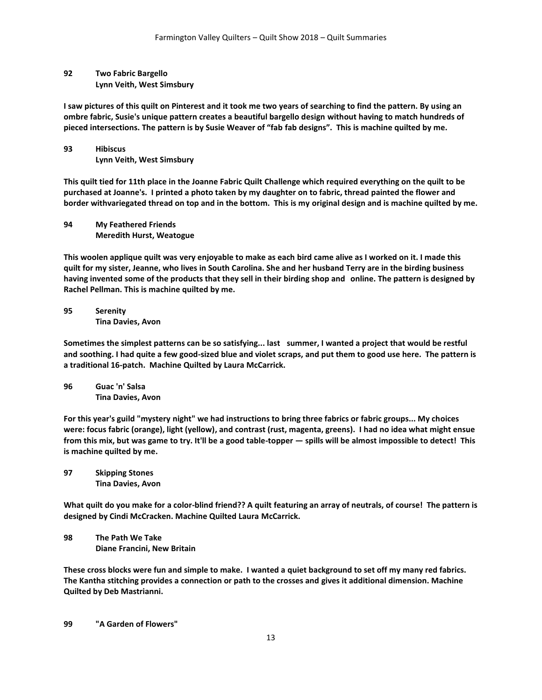## **92 Two Fabric Bargello Lynn Veith, West Simsbury**

**I saw pictures of this quilt on Pinterest and it took me two years of searching to find the pattern. By using an ombre fabric, Susie's unique pattern creates a beautiful bargello design without having to match hundreds of pieced intersections. The pattern is by Susie Weaver of "fab fab designs". This is machine quilted by me.**

## **93 Hibiscus Lynn Veith, West Simsbury**

**This quilt tied for 11th place in the Joanne Fabric Quilt Challenge which required everything on the quilt to be purchased at Joanne's. I printed a photo taken by my daughter on to fabric, thread painted the flower and border withvariegated thread on top and in the bottom. This is my original design and is machine quilted by me.**

**94 My Feathered Friends Meredith Hurst, Weatogue**

**This woolen applique quilt was very enjoyable to make as each bird came alive as I worked on it. I made this quilt for my sister, Jeanne, who lives in South Carolina. She and her husband Terry are in the birding business having invented some of the products that they sell in their birding shop and online. The pattern is designed by Rachel Pellman. This is machine quilted by me.**

**95 Serenity Tina Davies, Avon**

**Sometimes the simplest patterns can be so satisfying... last summer, I wanted a project that would be restful and soothing. I had quite a few good-sized blue and violet scraps, and put them to good use here. The pattern is a traditional 16-patch. Machine Quilted by Laura McCarrick.**

**96 Guac 'n' Salsa Tina Davies, Avon**

**For this year's guild "mystery night" we had instructions to bring three fabrics or fabric groups... My choices were: focus fabric (orange), light (yellow), and contrast (rust, magenta, greens). I had no idea what might ensue from this mix, but was game to try. It'll be a good table-topper — spills will be almost impossible to detect! This is machine quilted by me.**

**97 Skipping Stones Tina Davies, Avon**

**What quilt do you make for a color-blind friend?? A quilt featuring an array of neutrals, of course! The pattern is designed by Cindi McCracken. Machine Quilted Laura McCarrick.**

**98 The Path We Take Diane Francini, New Britain**

**These cross blocks were fun and simple to make. I wanted a quiet background to set off my many red fabrics. The Kantha stitching provides a connection or path to the crosses and gives it additional dimension. Machine Quilted by Deb Mastrianni.**

**99 "A Garden of Flowers"**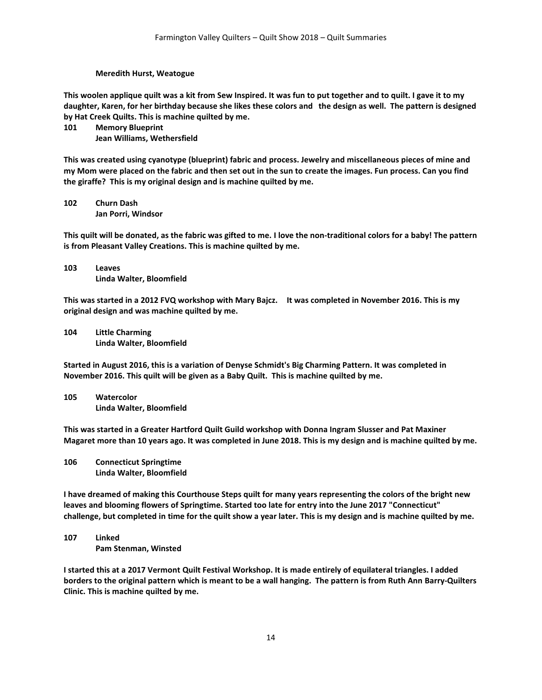#### **Meredith Hurst, Weatogue**

**This woolen applique quilt was a kit from Sew Inspired. It was fun to put together and to quilt. I gave it to my daughter, Karen, for her birthday because she likes these colors and the design as well. The pattern is designed by Hat Creek Quilts. This is machine quilted by me.**

**101 Memory Blueprint**

**Jean Williams, Wethersfield**

**This was created using cyanotype (blueprint) fabric and process. Jewelry and miscellaneous pieces of mine and my Mom were placed on the fabric and then set out in the sun to create the images. Fun process. Can you find the giraffe? This is my original design and is machine quilted by me.**

**102 Churn Dash Jan Porri, Windsor**

**This quilt will be donated, as the fabric was gifted to me. I love the non-traditional colors for a baby! The pattern is from Pleasant Valley Creations. This is machine quilted by me.**

**103 Leaves Linda Walter, Bloomfield**

**This was started in a 2012 FVQ workshop with Mary Bajcz. It was completed in November 2016. This is my original design and was machine quilted by me.**

**104 Little Charming Linda Walter, Bloomfield**

**Started in August 2016, this is a variation of Denyse Schmidt's Big Charming Pattern. It was completed in November 2016. This quilt will be given as a Baby Quilt. This is machine quilted by me.**

**105 Watercolor Linda Walter, Bloomfield**

**This was started in a Greater Hartford Quilt Guild workshop with Donna Ingram Slusser and Pat Maxiner Magaret more than 10 years ago. It was completed in June 2018. This is my design and is machine quilted by me.**

**106 Connecticut Springtime Linda Walter, Bloomfield**

**I have dreamed of making this Courthouse Steps quilt for many years representing the colors of the bright new leaves and blooming flowers of Springtime. Started too late for entry into the June 2017 "Connecticut" challenge, but completed in time for the quilt show a year later. This is my design and is machine quilted by me.**

**107 Linked Pam Stenman, Winsted**

**I started this at a 2017 Vermont Quilt Festival Workshop. It is made entirely of equilateral triangles. I added borders to the original pattern which is meant to be a wall hanging. The pattern is from Ruth Ann Barry-Quilters Clinic. This is machine quilted by me.**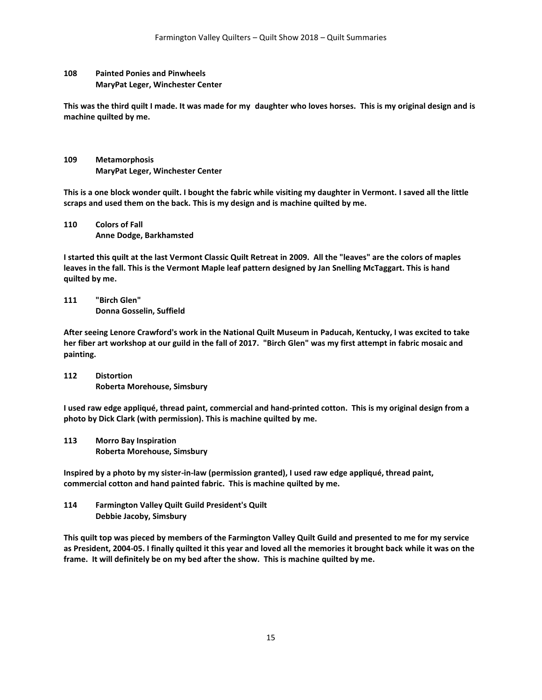## **108 Painted Ponies and Pinwheels MaryPat Leger, Winchester Center**

**This was the third quilt I made. It was made for my daughter who loves horses. This is my original design and is machine quilted by me.**

**109 Metamorphosis MaryPat Leger, Winchester Center**

**This is a one block wonder quilt. I bought the fabric while visiting my daughter in Vermont. I saved all the little scraps and used them on the back. This is my design and is machine quilted by me.**

**110 Colors of Fall Anne Dodge, Barkhamsted**

**I started this quilt at the last Vermont Classic Quilt Retreat in 2009. All the "leaves" are the colors of maples leaves in the fall. This is the Vermont Maple leaf pattern designed by Jan Snelling McTaggart. This is hand quilted by me.**

**111 "Birch Glen" Donna Gosselin, Suffield**

**After seeing Lenore Crawford's work in the National Quilt Museum in Paducah, Kentucky, I was excited to take her fiber art workshop at our guild in the fall of 2017. "Birch Glen" was my first attempt in fabric mosaic and painting.**

**112 Distortion Roberta Morehouse, Simsbury**

**I used raw edge appliqué, thread paint, commercial and hand-printed cotton. This is my original design from a photo by Dick Clark (with permission). This is machine quilted by me.**

**113 Morro Bay Inspiration Roberta Morehouse, Simsbury**

**Inspired by a photo by my sister-in-law (permission granted), I used raw edge appliqué, thread paint, commercial cotton and hand painted fabric. This is machine quilted by me.**

**114 Farmington Valley Quilt Guild President's Quilt Debbie Jacoby, Simsbury**

**This quilt top was pieced by members of the Farmington Valley Quilt Guild and presented to me for my service as President, 2004-05. I finally quilted it this year and loved all the memories it brought back while it was on the frame. It will definitely be on my bed after the show. This is machine quilted by me.**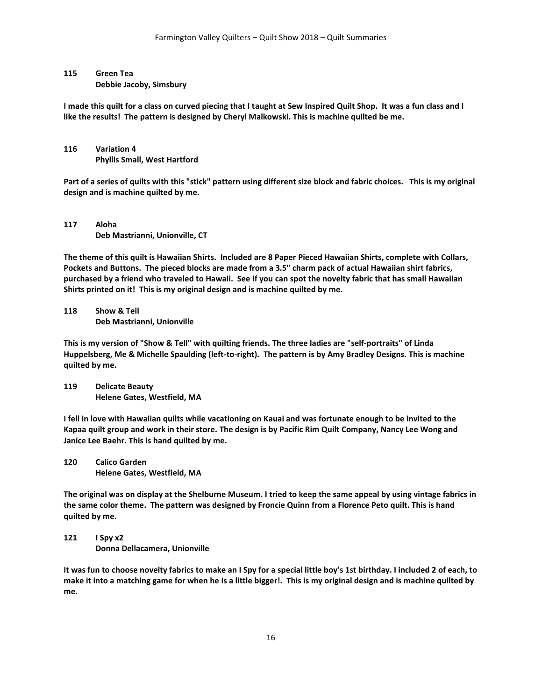### **115 Green Tea**

**Debbie Jacoby, Simsbury**

**I made this quilt for a class on curved piecing that I taught at Sew Inspired Quilt Shop. It was a fun class and I like the results! The pattern is designed by Cheryl Malkowski. This is machine quilted be me.**

## **116 Variation 4 Phyllis Small, West Hartford**

**Part of a series of quilts with this "stick" pattern using different size block and fabric choices. This is my original design and is machine quilted by me.**

## **117 Aloha Deb Mastrianni, Unionville, CT**

**The theme of this quilt is Hawaiian Shirts. Included are 8 Paper Pieced Hawaiian Shirts, complete with Collars, Pockets and Buttons. The pieced blocks are made from a 3.5" charm pack of actual Hawaiian shirt fabrics, purchased by a friend who traveled to Hawaii. See if you can spot the novelty fabric that has small Hawaiian Shirts printed on it! This is my original design and is machine quilted by me.**

**118 Show & Tell Deb Mastrianni, Unionville**

**This is my version of "Show & Tell" with quilting friends. The three ladies are "self-portraits" of Linda Huppelsberg, Me & Michelle Spaulding (left-to-right). The pattern is by Amy Bradley Designs. This is machine quilted by me.**

**119 Delicate Beauty Helene Gates, Westfield, MA**

**I fell in love with Hawaiian quilts while vacationing on Kauai and was fortunate enough to be invited to the Kapaa quilt group and work in their store. The design is by Pacific Rim Quilt Company, Nancy Lee Wong and Janice Lee Baehr. This is hand quilted by me.**

**120 Calico Garden Helene Gates, Westfield, MA**

**The original was on display at the Shelburne Museum. I tried to keep the same appeal by using vintage fabrics in the same color theme. The pattern was designed by Froncie Quinn from a Florence Peto quilt. This is hand quilted by me.**

**121 I Spy x2 Donna Dellacamera, Unionville**

**It was fun to choose novelty fabrics to make an I Spy for a special little boy's 1st birthday. I included 2 of each, to make it into a matching game for when he is a little bigger!. This is my original design and is machine quilted by me.**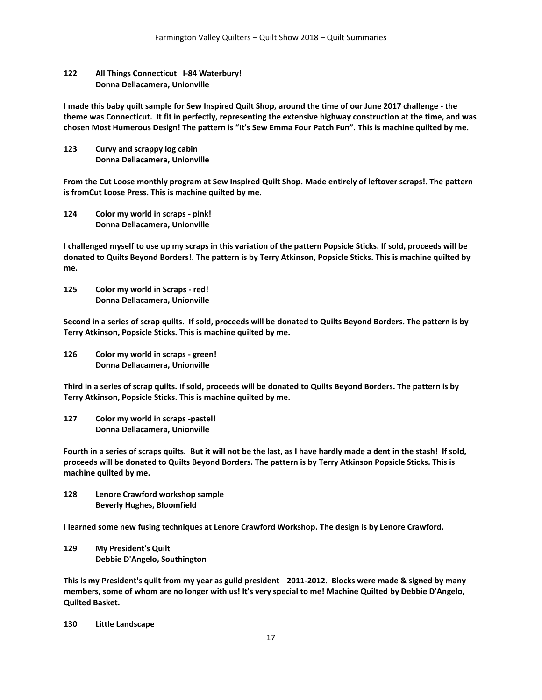## **122 All Things Connecticut I-84 Waterbury! Donna Dellacamera, Unionville**

**I made this baby quilt sample for Sew Inspired Quilt Shop, around the time of our June 2017 challenge - the theme was Connecticut. It fit in perfectly, representing the extensive highway construction at the time, and was chosen Most Humerous Design! The pattern is "It's Sew Emma Four Patch Fun". This is machine quilted by me.**

**123 Curvy and scrappy log cabin Donna Dellacamera, Unionville**

**From the Cut Loose monthly program at Sew Inspired Quilt Shop. Made entirely of leftover scraps!. The pattern is fromCut Loose Press. This is machine quilted by me.**

**124 Color my world in scraps - pink! Donna Dellacamera, Unionville**

**I challenged myself to use up my scraps in this variation of the pattern Popsicle Sticks. If sold, proceeds will be donated to Quilts Beyond Borders!. The pattern is by Terry Atkinson, Popsicle Sticks. This is machine quilted by me.**

**125 Color my world in Scraps - red! Donna Dellacamera, Unionville**

**Second in a series of scrap quilts. If sold, proceeds will be donated to Quilts Beyond Borders. The pattern is by Terry Atkinson, Popsicle Sticks. This is machine quilted by me.**

**126 Color my world in scraps - green! Donna Dellacamera, Unionville**

**Third in a series of scrap quilts. If sold, proceeds will be donated to Quilts Beyond Borders. The pattern is by Terry Atkinson, Popsicle Sticks. This is machine quilted by me.**

**127 Color my world in scraps -pastel! Donna Dellacamera, Unionville**

**Fourth in a series of scraps quilts. But it will not be the last, as I have hardly made a dent in the stash! If sold, proceeds will be donated to Quilts Beyond Borders. The pattern is by Terry Atkinson Popsicle Sticks. This is machine quilted by me.**

**128 Lenore Crawford workshop sample Beverly Hughes, Bloomfield**

**I learned some new fusing techniques at Lenore Crawford Workshop. The design is by Lenore Crawford.** 

**129 My President's Quilt Debbie D'Angelo, Southington**

**This is my President's quilt from my year as guild president 2011-2012. Blocks were made & signed by many members, some of whom are no longer with us! It's very special to me! Machine Quilted by Debbie D'Angelo, Quilted Basket.**

**130 Little Landscape**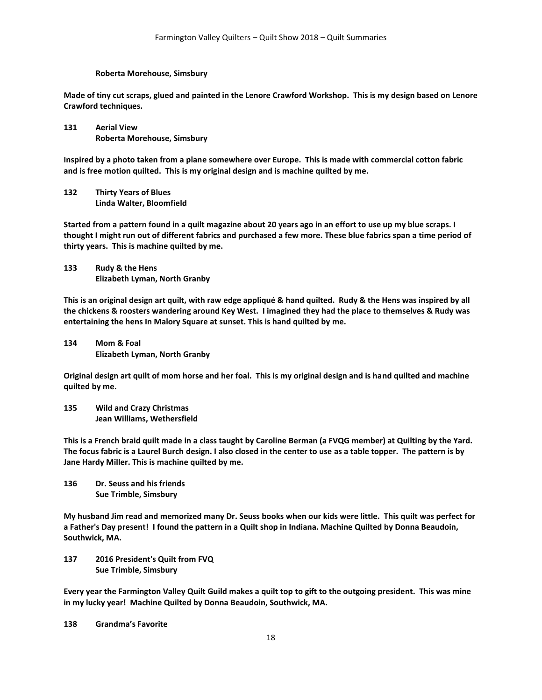#### **Roberta Morehouse, Simsbury**

**Made of tiny cut scraps, glued and painted in the Lenore Crawford Workshop. This is my design based on Lenore Crawford techniques.**

**131 Aerial View Roberta Morehouse, Simsbury**

**Inspired by a photo taken from a plane somewhere over Europe. This is made with commercial cotton fabric and is free motion quilted. This is my original design and is machine quilted by me.**

**132 Thirty Years of Blues Linda Walter, Bloomfield**

**Started from a pattern found in a quilt magazine about 20 years ago in an effort to use up my blue scraps. I thought I might run out of different fabrics and purchased a few more. These blue fabrics span a time period of thirty years. This is machine quilted by me.**

**133 Rudy & the Hens Elizabeth Lyman, North Granby**

**This is an original design art quilt, with raw edge appliqué & hand quilted. Rudy & the Hens was inspired by all the chickens & roosters wandering around Key West. I imagined they had the place to themselves & Rudy was entertaining the hens In Malory Square at sunset. This is hand quilted by me.**

**134 Mom & Foal Elizabeth Lyman, North Granby**

**Original design art quilt of mom horse and her foal. This is my original design and is hand quilted and machine quilted by me.**

**135 Wild and Crazy Christmas Jean Williams, Wethersfield**

**This is a French braid quilt made in a class taught by Caroline Berman (a FVQG member) at Quilting by the Yard. The focus fabric is a Laurel Burch design. I also closed in the center to use as a table topper. The pattern is by Jane Hardy Miller. This is machine quilted by me.**

**136 Dr. Seuss and his friends Sue Trimble, Simsbury**

**My husband Jim read and memorized many Dr. Seuss books when our kids were little. This quilt was perfect for a Father's Day present! I found the pattern in a Quilt shop in Indiana. Machine Quilted by Donna Beaudoin, Southwick, MA.**

**137 2016 President's Quilt from FVQ Sue Trimble, Simsbury**

**Every year the Farmington Valley Quilt Guild makes a quilt top to gift to the outgoing president. This was mine in my lucky year! Machine Quilted by Donna Beaudoin, Southwick, MA.**

**138 Grandma's Favorite**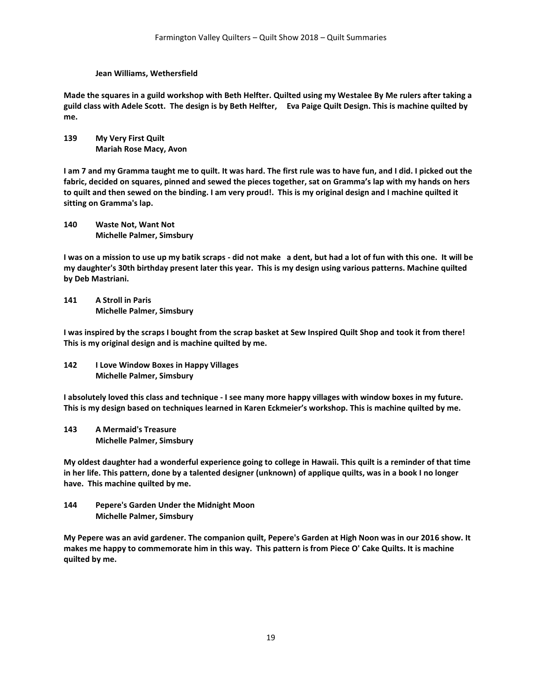#### **Jean Williams, Wethersfield**

**Made the squares in a guild workshop with Beth Helfter. Quilted using my Westalee By Me rulers after taking a guild class with Adele Scott. The design is by Beth Helfter, Eva Paige Quilt Design. This is machine quilted by me.**

### **139 My Very First Quilt Mariah Rose Macy, Avon**

**I am 7 and my Gramma taught me to quilt. It was hard. The first rule was to have fun, and I did. I picked out the fabric, decided on squares, pinned and sewed the pieces together, sat on Gramma's lap with my hands on hers to quilt and then sewed on the binding. I am very proud!. This is my original design and I machine quilted it sitting on Gramma's lap.**

**140 Waste Not, Want Not Michelle Palmer, Simsbury**

**I was on a mission to use up my batik scraps - did not make a dent, but had a lot of fun with this one. It will be my daughter's 30th birthday present later this year. This is my design using various patterns. Machine quilted by Deb Mastriani.**

**141 A Stroll in Paris Michelle Palmer, Simsbury**

**I was inspired by the scraps I bought from the scrap basket at Sew Inspired Quilt Shop and took it from there! This is my original design and is machine quilted by me.**

**142 I Love Window Boxes in Happy Villages Michelle Palmer, Simsbury**

**I absolutely loved this class and technique - I see many more happy villages with window boxes in my future. This is my design based on techniques learned in Karen Eckmeier's workshop. This is machine quilted by me.**

**143 A Mermaid's Treasure Michelle Palmer, Simsbury**

**My oldest daughter had a wonderful experience going to college in Hawaii. This quilt is a reminder of that time in her life. This pattern, done by a talented designer (unknown) of applique quilts, was in a book I no longer have. This machine quilted by me.**

**144 Pepere's Garden Under the Midnight Moon Michelle Palmer, Simsbury**

**My Pepere was an avid gardener. The companion quilt, Pepere's Garden at High Noon was in our 2016 show. It makes me happy to commemorate him in this way. This pattern is from Piece O' Cake Quilts. It is machine quilted by me.**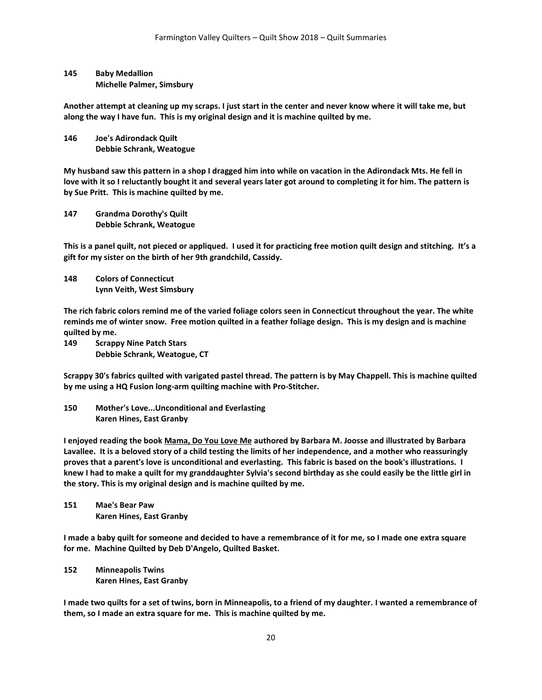**145 Baby Medallion Michelle Palmer, Simsbury**

**Another attempt at cleaning up my scraps. I just start in the center and never know where it will take me, but along the way I have fun. This is my original design and it is machine quilted by me.**

**146 Joe's Adirondack Quilt Debbie Schrank, Weatogue**

**My husband saw this pattern in a shop I dragged him into while on vacation in the Adirondack Mts. He fell in love with it so I reluctantly bought it and several years later got around to completing it for him. The pattern is by Sue Pritt. This is machine quilted by me.**

**147 Grandma Dorothy's Quilt Debbie Schrank, Weatogue**

**This is a panel quilt, not pieced or appliqued. I used it for practicing free motion quilt design and stitching. It's a gift for my sister on the birth of her 9th grandchild, Cassidy.** 

**148 Colors of Connecticut Lynn Veith, West Simsbury**

**The rich fabric colors remind me of the varied foliage colors seen in Connecticut throughout the year. The white reminds me of winter snow. Free motion quilted in a feather foliage design. This is my design and is machine quilted by me.**

**149 Scrappy Nine Patch Stars Debbie Schrank, Weatogue, CT**

**Scrappy 30's fabrics quilted with varigated pastel thread. The pattern is by May Chappell. This is machine quilted by me using a HQ Fusion long-arm quilting machine with Pro-Stitcher.**

**150 Mother's Love...Unconditional and Everlasting Karen Hines, East Granby**

**I enjoyed reading the book Mama, Do You Love Me authored by Barbara M. Joosse and illustrated by Barbara Lavallee. It is a beloved story of a child testing the limits of her independence, and a mother who reassuringly proves that a parent's love is unconditional and everlasting. This fabric is based on the book's illustrations. I knew I had to make a quilt for my granddaughter Sylvia's second birthday as she could easily be the little girl in the story. This is my original design and is machine quilted by me.**

**151 Mae's Bear Paw Karen Hines, East Granby**

**I made a baby quilt for someone and decided to have a remembrance of it for me, so I made one extra square for me. Machine Quilted by Deb D'Angelo, Quilted Basket.**

**152 Minneapolis Twins Karen Hines, East Granby**

**I made two quilts for a set of twins, born in Minneapolis, to a friend of my daughter. I wanted a remembrance of them, so I made an extra square for me. This is machine quilted by me.**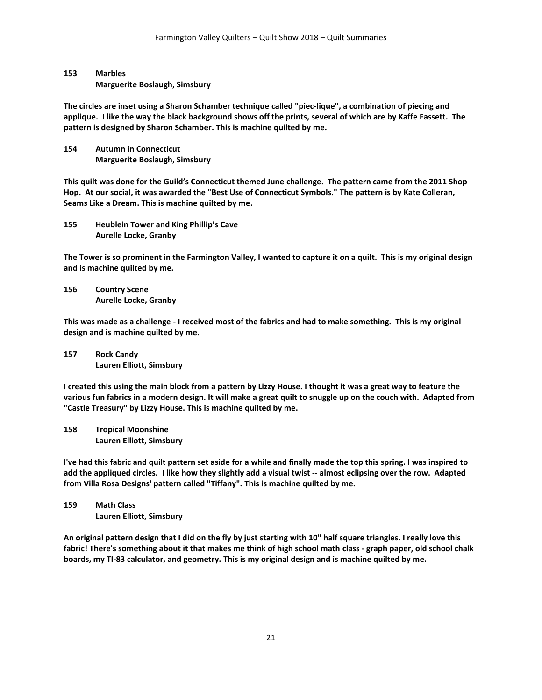## **153 Marbles Marguerite Boslaugh, Simsbury**

**The circles are inset using a Sharon Schamber technique called "piec-lique", a combination of piecing and applique. I like the way the black background shows off the prints, several of which are by Kaffe Fassett. The pattern is designed by Sharon Schamber. This is machine quilted by me.**

**154 Autumn in Connecticut Marguerite Boslaugh, Simsbury**

**This quilt was done for the Guild's Connecticut themed June challenge. The pattern came from the 2011 Shop Hop. At our social, it was awarded the "Best Use of Connecticut Symbols." The pattern is by Kate Colleran, Seams Like a Dream. This is machine quilted by me.**

**155 Heublein Tower and King Phillip's Cave Aurelle Locke, Granby**

**The Tower is so prominent in the Farmington Valley, I wanted to capture it on a quilt. This is my original design and is machine quilted by me.**

**156 Country Scene Aurelle Locke, Granby**

**This was made as a challenge - I received most of the fabrics and had to make something. This is my original design and is machine quilted by me.**

**157 Rock Candy Lauren Elliott, Simsbury**

**I created this using the main block from a pattern by Lizzy House. I thought it was a great way to feature the various fun fabrics in a modern design. It will make a great quilt to snuggle up on the couch with. Adapted from "Castle Treasury" by Lizzy House. This is machine quilted by me.**

**158 Tropical Moonshine Lauren Elliott, Simsbury**

**I've had this fabric and quilt pattern set aside for a while and finally made the top this spring. I was inspired to add the appliqued circles. I like how they slightly add a visual twist -- almost eclipsing over the row. Adapted from Villa Rosa Designs' pattern called "Tiffany". This is machine quilted by me.**

**159 Math Class Lauren Elliott, Simsbury**

**An original pattern design that I did on the fly by just starting with 10" half square triangles. I really love this fabric! There's something about it that makes me think of high school math class - graph paper, old school chalk boards, my TI-83 calculator, and geometry. This is my original design and is machine quilted by me.**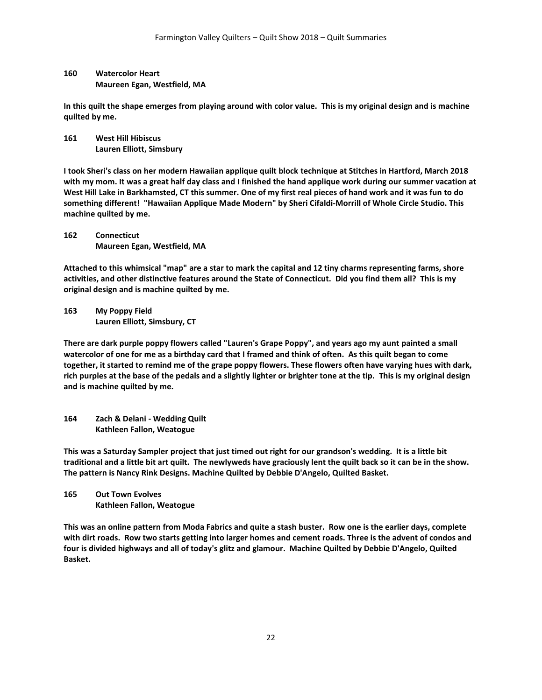## **160 Watercolor Heart Maureen Egan, Westfield, MA**

**In this quilt the shape emerges from playing around with color value. This is my original design and is machine quilted by me.**

**161 West Hill Hibiscus Lauren Elliott, Simsbury**

**I took Sheri's class on her modern Hawaiian applique quilt block technique at Stitches in Hartford, March 2018 with my mom. It was a great half day class and I finished the hand applique work during our summer vacation at West Hill Lake in Barkhamsted, CT this summer. One of my first real pieces of hand work and it was fun to do something different! "Hawaiian Applique Made Modern" by Sheri Cifaldi-Morrill of Whole Circle Studio. This machine quilted by me.**

**162 Connecticut Maureen Egan, Westfield, MA**

**Attached to this whimsical "map" are a star to mark the capital and 12 tiny charms representing farms, shore activities, and other distinctive features around the State of Connecticut. Did you find them all? This is my original design and is machine quilted by me.**

**163 My Poppy Field Lauren Elliott, Simsbury, CT**

**There are dark purple poppy flowers called "Lauren's Grape Poppy", and years ago my aunt painted a small watercolor of one for me as a birthday card that I framed and think of often. As this quilt began to come together, it started to remind me of the grape poppy flowers. These flowers often have varying hues with dark, rich purples at the base of the pedals and a slightly lighter or brighter tone at the tip. This is my original design and is machine quilted by me.**

**164 Zach & Delani - Wedding Quilt Kathleen Fallon, Weatogue**

**This was a Saturday Sampler project that just timed out right for our grandson's wedding. It is a little bit traditional and a little bit art quilt. The newlyweds have graciously lent the quilt back so it can be in the show. The pattern is Nancy Rink Designs. Machine Quilted by Debbie D'Angelo, Quilted Basket.**

**165 Out Town Evolves Kathleen Fallon, Weatogue**

**This was an online pattern from Moda Fabrics and quite a stash buster. Row one is the earlier days, complete with dirt roads. Row two starts getting into larger homes and cement roads. Three is the advent of condos and four is divided highways and all of today's glitz and glamour. Machine Quilted by Debbie D'Angelo, Quilted Basket.**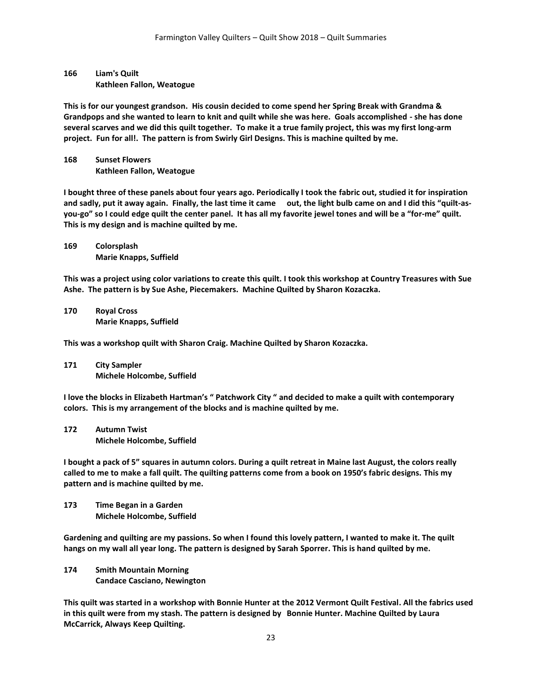## **166 Liam's Quilt Kathleen Fallon, Weatogue**

**This is for our youngest grandson. His cousin decided to come spend her Spring Break with Grandma & Grandpops and she wanted to learn to knit and quilt while she was here. Goals accomplished - she has done several scarves and we did this quilt together. To make it a true family project, this was my first long-arm project. Fun for all!. The pattern is from Swirly Girl Designs. This is machine quilted by me.** 

**168 Sunset Flowers Kathleen Fallon, Weatogue**

**I bought three of these panels about four years ago. Periodically I took the fabric out, studied it for inspiration and sadly, put it away again. Finally, the last time it came out, the light bulb came on and I did this "quilt-asyou-go" so I could edge quilt the center panel. It has all my favorite jewel tones and will be a "for-me" quilt. This is my design and is machine quilted by me.**

**169 Colorsplash Marie Knapps, Suffield**

**This was a project using color variations to create this quilt. I took this workshop at Country Treasures with Sue Ashe. The pattern is by Sue Ashe, Piecemakers. Machine Quilted by Sharon Kozaczka.**

**170 Royal Cross Marie Knapps, Suffield**

**This was a workshop quilt with Sharon Craig. Machine Quilted by Sharon Kozaczka.**

**171 City Sampler Michele Holcombe, Suffield**

**I love the blocks in Elizabeth Hartman's " Patchwork City " and decided to make a quilt with contemporary colors. This is my arrangement of the blocks and is machine quilted by me.**

**172 Autumn Twist Michele Holcombe, Suffield**

**I bought a pack of 5" squares in autumn colors. During a quilt retreat in Maine last August, the colors really called to me to make a fall quilt. The quilting patterns come from a book on 1950's fabric designs. This my pattern and is machine quilted by me.**

**173 Time Began in a Garden Michele Holcombe, Suffield**

**Gardening and quilting are my passions. So when I found this lovely pattern, I wanted to make it. The quilt hangs on my wall all year long. The pattern is designed by Sarah Sporrer. This is hand quilted by me.**

**174 Smith Mountain Morning Candace Casciano, Newington**

**This quilt was started in a workshop with Bonnie Hunter at the 2012 Vermont Quilt Festival. All the fabrics used in this quilt were from my stash. The pattern is designed by Bonnie Hunter. Machine Quilted by Laura McCarrick, Always Keep Quilting.**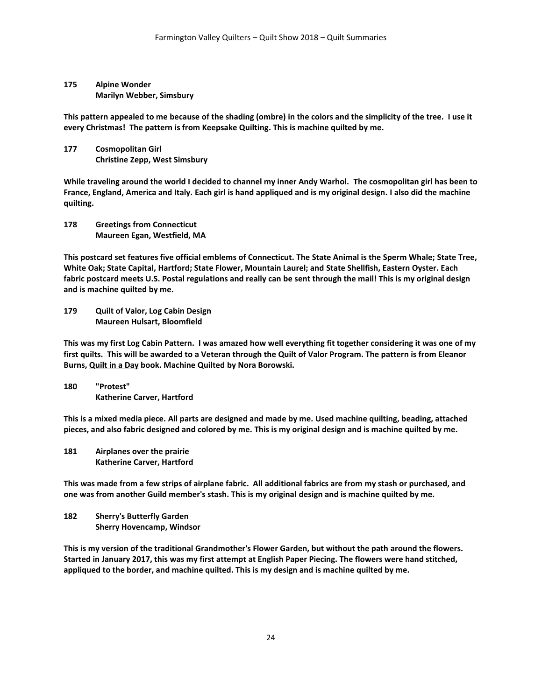**175 Alpine Wonder Marilyn Webber, Simsbury**

**This pattern appealed to me because of the shading (ombre) in the colors and the simplicity of the tree. I use it every Christmas! The pattern is from Keepsake Quilting. This is machine quilted by me.**

**177 Cosmopolitan Girl Christine Zepp, West Simsbury**

**While traveling around the world I decided to channel my inner Andy Warhol. The cosmopolitan girl has been to France, England, America and Italy. Each girl is hand appliqued and is my original design. I also did the machine quilting.**

**178 Greetings from Connecticut Maureen Egan, Westfield, MA**

**This postcard set features five official emblems of Connecticut. The State Animal is the Sperm Whale; State Tree, White Oak; State Capital, Hartford; State Flower, Mountain Laurel; and State Shellfish, Eastern Oyster. Each fabric postcard meets U.S. Postal regulations and really can be sent through the mail! This is my original design and is machine quilted by me.**

**179 Quilt of Valor, Log Cabin Design Maureen Hulsart, Bloomfield**

**This was my first Log Cabin Pattern. I was amazed how well everything fit together considering it was one of my first quilts. This will be awarded to a Veteran through the Quilt of Valor Program. The pattern is from Eleanor Burns, Quilt in a Day book. Machine Quilted by Nora Borowski.**

**180 "Protest" Katherine Carver, Hartford**

**This is a mixed media piece. All parts are designed and made by me. Used machine quilting, beading, attached pieces, and also fabric designed and colored by me. This is my original design and is machine quilted by me.**

**181 Airplanes over the prairie Katherine Carver, Hartford**

**This was made from a few strips of airplane fabric. All additional fabrics are from my stash or purchased, and one was from another Guild member's stash. This is my original design and is machine quilted by me.**

**182 Sherry's Butterfly Garden Sherry Hovencamp, Windsor**

**This is my version of the traditional Grandmother's Flower Garden, but without the path around the flowers. Started in January 2017, this was my first attempt at English Paper Piecing. The flowers were hand stitched, appliqued to the border, and machine quilted. This is my design and is machine quilted by me.**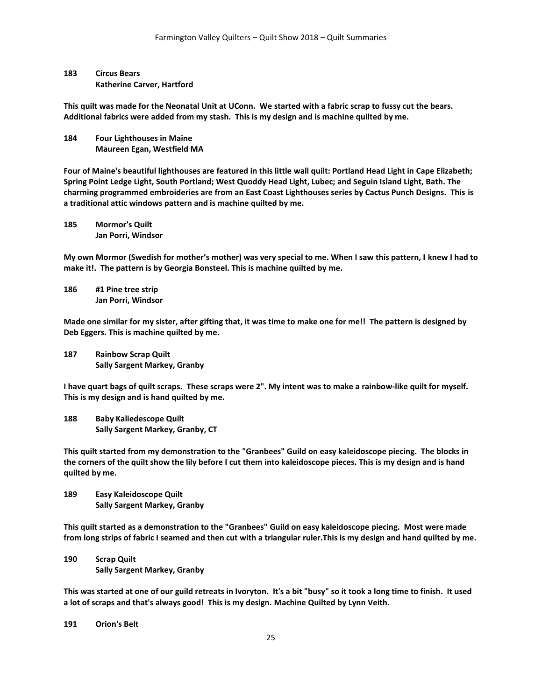## **183 Circus Bears Katherine Carver, Hartford**

**This quilt was made for the Neonatal Unit at UConn. We started with a fabric scrap to fussy cut the bears. Additional fabrics were added from my stash. This is my design and is machine quilted by me.**

**184 Four Lighthouses in Maine Maureen Egan, Westfield MA**

**Four of Maine's beautiful lighthouses are featured in this little wall quilt: Portland Head Light in Cape Elizabeth; Spring Point Ledge Light, South Portland; West Quoddy Head Light, Lubec; and Seguin Island Light, Bath. The charming programmed embroideries are from an East Coast Lighthouses series by Cactus Punch Designs. This is a traditional attic windows pattern and is machine quilted by me.**

**185 Mormor's Quilt Jan Porri, Windsor**

**My own Mormor (Swedish for mother's mother) was very special to me. When I saw this pattern, I knew I had to make it!. The pattern is by Georgia Bonsteel. This is machine quilted by me.**

**186 #1 Pine tree strip Jan Porri, Windsor**

**Made one similar for my sister, after gifting that, it was time to make one for me!! The pattern is designed by Deb Eggers. This is machine quilted by me.**

**187 Rainbow Scrap Quilt Sally Sargent Markey, Granby**

**I have quart bags of quilt scraps. These scraps were 2". My intent was to make a rainbow-like quilt for myself. This is my design and is hand quilted by me.**

**188 Baby Kaliedescope Quilt Sally Sargent Markey, Granby, CT**

**This quilt started from my demonstration to the "Granbees" Guild on easy kaleidoscope piecing. The blocks in the corners of the quilt show the lily before I cut them into kaleidoscope pieces. This is my design and is hand quilted by me.**

**189 Easy Kaleidoscope Quilt Sally Sargent Markey, Granby**

**This quilt started as a demonstration to the "Granbees" Guild on easy kaleidoscope piecing. Most were made from long strips of fabric I seamed and then cut with a triangular ruler.This is my design and hand quilted by me.**

**190 Scrap Quilt Sally Sargent Markey, Granby**

**This was started at one of our guild retreats in Ivoryton. It's a bit "busy" so it took a long time to finish. It used a lot of scraps and that's always good! This is my design. Machine Quilted by Lynn Veith.**

**191 Orion's Belt**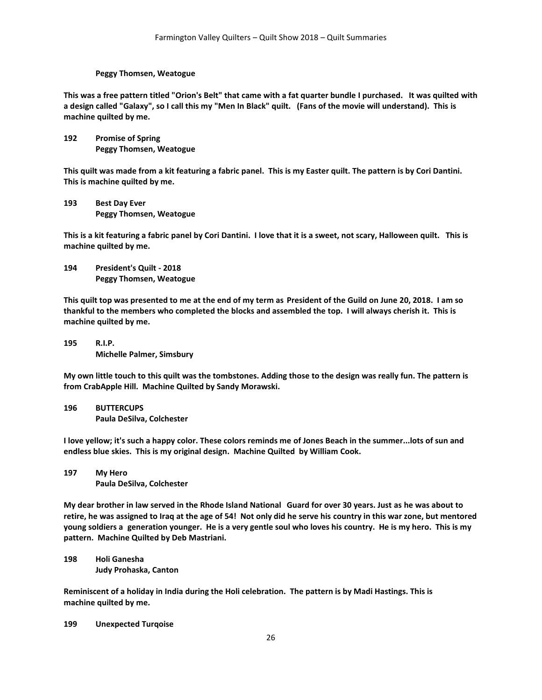#### **Peggy Thomsen, Weatogue**

**This was a free pattern titled "Orion's Belt" that came with a fat quarter bundle I purchased. It was quilted with a design called "Galaxy", so I call this my "Men In Black" quilt. (Fans of the movie will understand). This is machine quilted by me.**

**192 Promise of Spring Peggy Thomsen, Weatogue**

**This quilt was made from a kit featuring a fabric panel. This is my Easter quilt. The pattern is by Cori Dantini. This is machine quilted by me.**

**193 Best Day Ever Peggy Thomsen, Weatogue**

**This is a kit featuring a fabric panel by Cori Dantini. I love that it is a sweet, not scary, Halloween quilt. This is machine quilted by me.**

**194 President's Quilt - 2018 Peggy Thomsen, Weatogue**

**This quilt top was presented to me at the end of my term as President of the Guild on June 20, 2018. I am so thankful to the members who completed the blocks and assembled the top. I will always cherish it. This is machine quilted by me.**

**195 R.I.P. Michelle Palmer, Simsbury**

**My own little touch to this quilt was the tombstones. Adding those to the design was really fun. The pattern is from CrabApple Hill. Machine Quilted by Sandy Morawski.**

**196 BUTTERCUPS Paula DeSilva, Colchester**

**I love yellow; it's such a happy color. These colors reminds me of Jones Beach in the summer...lots of sun and endless blue skies. This is my original design. Machine Quilted by William Cook.**

**197 My Hero Paula DeSilva, Colchester**

**My dear brother in law served in the Rhode Island National Guard for over 30 years. Just as he was about to retire, he was assigned to Iraq at the age of 54! Not only did he serve his country in this war zone, but mentored young soldiers a generation younger. He is a very gentle soul who loves his country. He is my hero. This is my pattern. Machine Quilted by Deb Mastriani.**

**198 Holi Ganesha Judy Prohaska, Canton**

**Reminiscent of a holiday in India during the Holi celebration. The pattern is by Madi Hastings. This is machine quilted by me.**

**199 Unexpected Turqoise**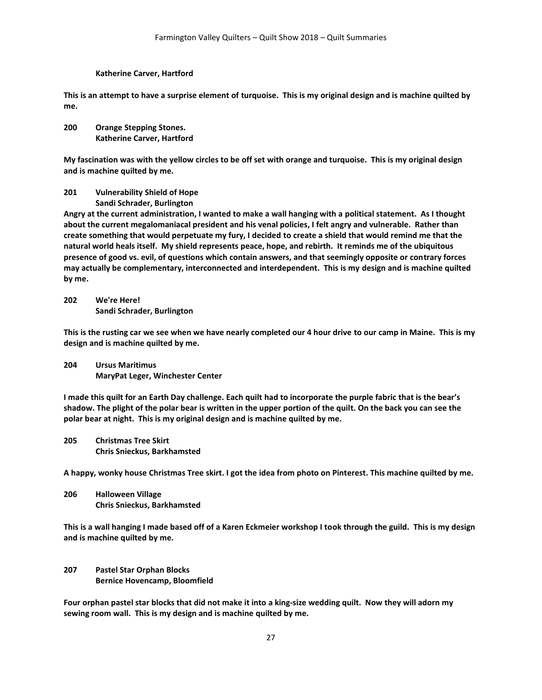#### **Katherine Carver, Hartford**

**This is an attempt to have a surprise element of turquoise. This is my original design and is machine quilted by me.**

**200 Orange Stepping Stones. Katherine Carver, Hartford**

**My fascination was with the yellow circles to be off set with orange and turquoise. This is my original design and is machine quilted by me.**

- **201 Vulnerability Shield of Hope**
	- **Sandi Schrader, Burlington**

**Angry at the current administration, I wanted to make a wall hanging with a political statement. As I thought about the current megalomaniacal president and his venal policies, I felt angry and vulnerable. Rather than create something that would perpetuate my fury, I decided to create a shield that would remind me that the natural world heals itself. My shield represents peace, hope, and rebirth. It reminds me of the ubiquitous presence of good vs. evil, of questions which contain answers, and that seemingly opposite or contrary forces may actually be complementary, interconnected and interdependent. This is my design and is machine quilted by me.**

**202 We're Here! Sandi Schrader, Burlington**

**This is the rusting car we see when we have nearly completed our 4 hour drive to our camp in Maine. This is my design and is machine quilted by me.**

**204 Ursus Maritimus MaryPat Leger, Winchester Center**

**I made this quilt for an Earth Day challenge. Each quilt had to incorporate the purple fabric that is the bear's shadow. The plight of the polar bear is written in the upper portion of the quilt. On the back you can see the polar bear at night. This is my original design and is machine quilted by me.**

**205 Christmas Tree Skirt Chris Snieckus, Barkhamsted**

**A happy, wonky house Christmas Tree skirt. I got the idea from photo on Pinterest. This machine quilted by me.**

**206 Halloween Village Chris Snieckus, Barkhamsted**

**This is a wall hanging I made based off of a Karen Eckmeier workshop I took through the guild. This is my design and is machine quilted by me.**

**207 Pastel Star Orphan Blocks Bernice Hovencamp, Bloomfield**

**Four orphan pastel star blocks that did not make it into a king-size wedding quilt. Now they will adorn my sewing room wall. This is my design and is machine quilted by me.**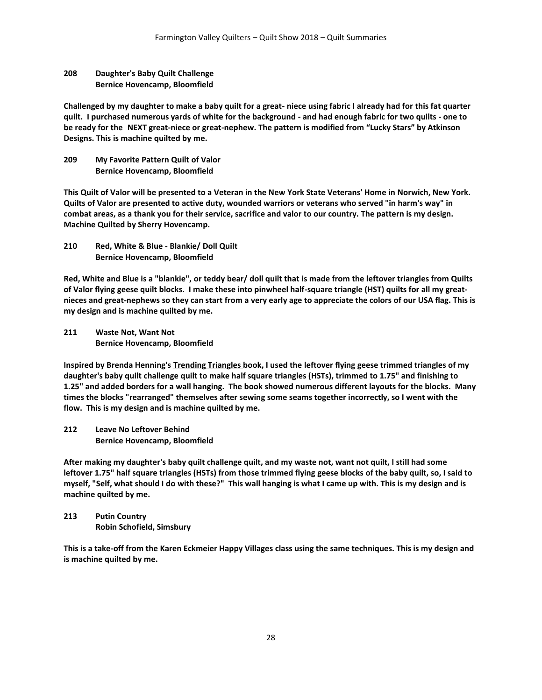## **208 Daughter's Baby Quilt Challenge Bernice Hovencamp, Bloomfield**

**Challenged by my daughter to make a baby quilt for a great- niece using fabric I already had for this fat quarter quilt. I purchased numerous yards of white for the background - and had enough fabric for two quilts - one to be ready for the NEXT great-niece or great-nephew. The pattern is modified from "Lucky Stars" by Atkinson Designs. This is machine quilted by me.**

**209 My Favorite Pattern Quilt of Valor Bernice Hovencamp, Bloomfield**

**This Quilt of Valor will be presented to a Veteran in the New York State Veterans' Home in Norwich, New York. Quilts of Valor are presented to active duty, wounded warriors or veterans who served "in harm's way" in combat areas, as a thank you for their service, sacrifice and valor to our country. The pattern is my design. Machine Quilted by Sherry Hovencamp.**

**210 Red, White & Blue - Blankie/ Doll Quilt Bernice Hovencamp, Bloomfield**

**Red, White and Blue is a "blankie", or teddy bear/ doll quilt that is made from the leftover triangles from Quilts of Valor flying geese quilt blocks. I make these into pinwheel half-square triangle (HST) quilts for all my greatnieces and great-nephews so they can start from a very early age to appreciate the colors of our USA flag. This is my design and is machine quilted by me.**

**211 Waste Not, Want Not Bernice Hovencamp, Bloomfield**

**Inspired by Brenda Henning's Trending Triangles book, I used the leftover flying geese trimmed triangles of my daughter's baby quilt challenge quilt to make half square triangles (HSTs), trimmed to 1.75" and finishing to 1.25" and added borders for a wall hanging. The book showed numerous different layouts for the blocks. Many times the blocks "rearranged" themselves after sewing some seams together incorrectly, so I went with the flow. This is my design and is machine quilted by me.**

**212 Leave No Leftover Behind Bernice Hovencamp, Bloomfield**

**After making my daughter's baby quilt challenge quilt, and my waste not, want not quilt, I still had some leftover 1.75" half square triangles (HSTs) from those trimmed flying geese blocks of the baby quilt, so, I said to myself, "Self, what should I do with these?" This wall hanging is what I came up with. This is my design and is machine quilted by me.**

**213 Putin Country Robin Schofield, Simsbury**

**This is a take-off from the Karen Eckmeier Happy Villages class using the same techniques. This is my design and is machine quilted by me.**